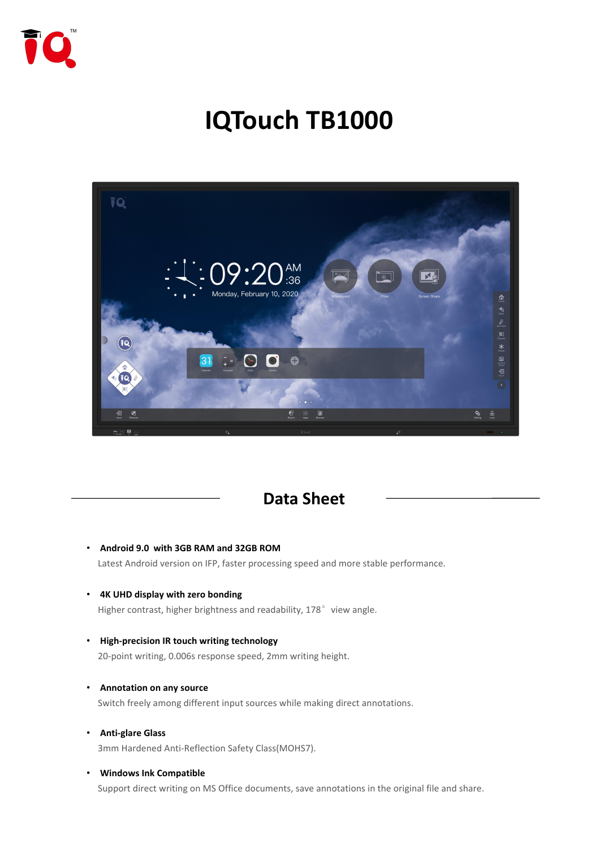

# **IQTouch TB1000**



### **Data Sheet**

- **Android 9.0 with 3GB RAM and 32GB ROM** Latest Android version on IFP, faster processing speed and more stable performance.
- **4K UHD display with zero bonding** Higher contrast, higher brightness and readability, 178° view angle.
- **High-precision IR touch writing technology** 20-point writing, 0.006s response speed, 2mm writing height.
- **Annotation on any source** Switch freely among different input sources while making direct annotations.
- **Anti-glare Glass** 3mm Hardened Anti-Reflection Safety Class(MOHS7).

#### • **Windows Ink Compatible**

Support direct writing on MS Office documents, save annotations in the original file and share.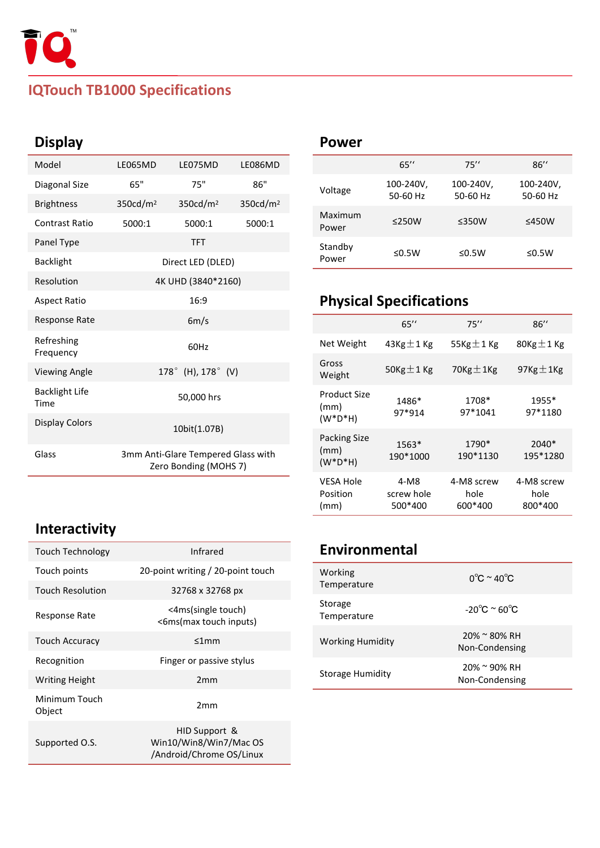

# **IQTouch TB1000 Specifications**

# **Display**

| Model                         | LE065MD              | LE075MD                                                     | LE086MD              |                             |                |
|-------------------------------|----------------------|-------------------------------------------------------------|----------------------|-----------------------------|----------------|
| Diagonal Size                 | 65"                  | 75"                                                         | 86"                  | Voltage                     | 10             |
| <b>Brightness</b>             | 350cd/m <sup>2</sup> | 350cd/m <sup>2</sup>                                        | 350cd/m <sup>2</sup> |                             | 5(             |
| <b>Contrast Ratio</b>         | 5000:1               | 5000:1                                                      | 5000:1               | Maximum<br>Power            | $\leq$         |
| Panel Type                    |                      | <b>TFT</b>                                                  |                      | Standby                     |                |
| <b>Backlight</b>              |                      | Direct LED (DLED)                                           |                      | Power                       |                |
| Resolution                    |                      | 4K UHD (3840*2160)                                          |                      |                             |                |
| <b>Aspect Ratio</b>           |                      | 16:9                                                        |                      | <b>Physical Spe</b>         |                |
| Response Rate                 |                      | 6m/s                                                        |                      |                             |                |
| Refreshing<br>Frequency       |                      | 60Hz                                                        |                      | Net Weight                  | 43             |
| <b>Viewing Angle</b>          |                      | 178° (H), 178° (V)                                          |                      | Gross<br>Weight             | 50             |
| <b>Backlight Life</b><br>Time |                      | 50,000 hrs                                                  |                      | <b>Product Size</b><br>(mm) |                |
| <b>Display Colors</b>         |                      | 10bit(1.07B)                                                |                      | $(W^*D^*H)$                 |                |
|                               |                      |                                                             |                      | Packing Size                |                |
| Glass                         |                      | 3mm Anti-Glare Tempered Glass with<br>Zero Bonding (MOHS 7) |                      | (mm)<br>$(W^*D^*H)$         | 1 <sup>′</sup> |

#### **Power**

|                         | 65''                  | 75''                  | 86''                  |
|-------------------------|-----------------------|-----------------------|-----------------------|
| Voltage                 | 100-240V,<br>50-60 Hz | 100-240V,<br>50-60 Hz | 100-240V,<br>50-60 Hz |
| <b>Maximum</b><br>Power | ≤250W                 | ≤350W                 | ≤450W                 |
| Standby<br>Power        | ≤0.5 $W$              | ≤0.5 $W$              | ≤0.5W                 |

# **Physical Specifications**

|                                            | 65''                          | 75''                          | 86''                          |
|--------------------------------------------|-------------------------------|-------------------------------|-------------------------------|
| Net Weight                                 | 43Kg $\pm$ 1 Kg               | 55Kg $\pm$ 1 Kg               | 80Kg $\pm$ 1 Kg               |
| Gross<br>Weight                            | 50Kg $\pm$ 1 Kg               | 70Kg $\pm$ 1Kg                | 97Kg $\pm$ 1Kg                |
| <b>Product Size</b><br>(mm)<br>$(W^*D^*H)$ | 1486*<br>97*914               | 1708*<br>97*1041              | 1955*<br>97*1180              |
| Packing Size<br>(mm)<br>$(W^*D^*H)$        | 1563*<br>190*1000             | 1790*<br>190*1130             | 2040*<br>195*1280             |
| <b>VESA Hole</b><br>Position<br>(mm)       | 4-M8<br>screw hole<br>500*400 | 4-M8 screw<br>hole<br>600*400 | 4-M8 screw<br>hole<br>800*400 |

# **Environmental**

| Working<br>Temperature  | $0^{\circ}$ C ~ 40 $^{\circ}$ C   |  |
|-------------------------|-----------------------------------|--|
| Storage<br>Temperature  | $-20^{\circ}$ C ~ 60 $^{\circ}$ C |  |
| <b>Working Humidity</b> | 20% ~ 80% RH<br>Non-Condensing    |  |
| <b>Storage Humidity</b> | 20% ~ 90% RH<br>Non-Condensing    |  |

# **Interactivity**

| Touch Technology        | <b>Infrared</b>                                                     | <b>Environn</b>        |
|-------------------------|---------------------------------------------------------------------|------------------------|
| Touch points            | 20-point writing / 20-point touch                                   | Working                |
| <b>Touch Resolution</b> | 32768 x 32768 px                                                    | Temperature            |
| Response Rate           | <4ms(single touch)<br><6ms(max touch inputs)                        | Storage<br>Temperature |
| <b>Touch Accuracy</b>   | ≤1mm                                                                | <b>Working Hum</b>     |
| Recognition             | Finger or passive stylus                                            |                        |
| <b>Writing Height</b>   | 2mm                                                                 | Storage Humi           |
| Minimum Touch<br>Object | 2 <sub>mm</sub>                                                     |                        |
| Supported O.S.          | HID Support &<br>Win10/Win8/Win7/Mac OS<br>/Android/Chrome OS/Linux |                        |